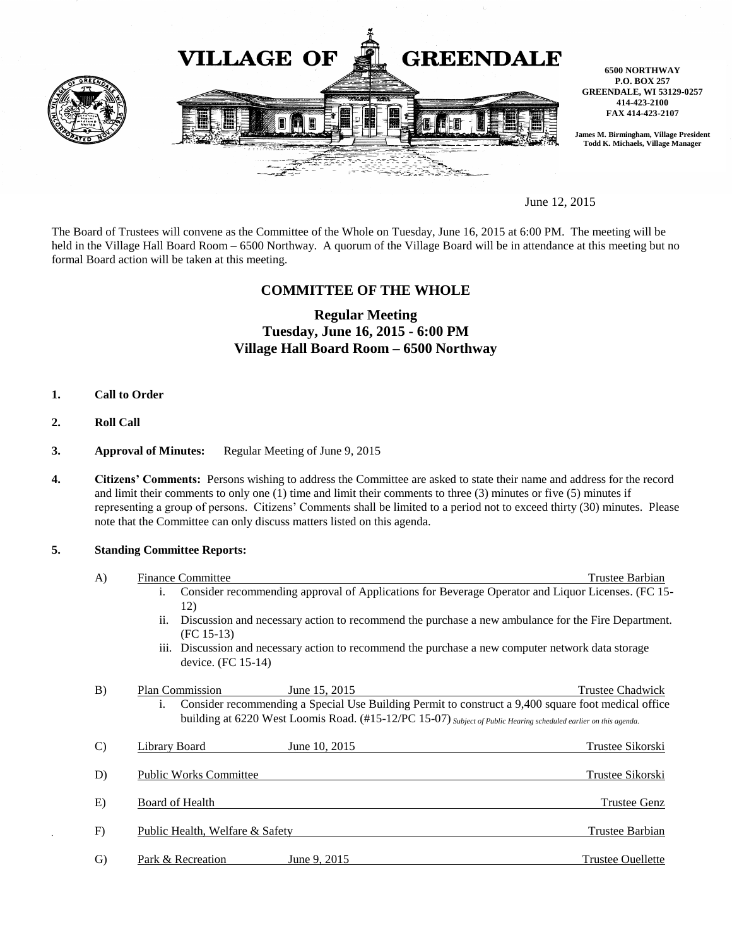

June 12, 2015

The Board of Trustees will convene as the Committee of the Whole on Tuesday, June 16, 2015 at 6:00 PM. The meeting will be held in the Village Hall Board Room – 6500 Northway. A quorum of the Village Board will be in attendance at this meeting but no formal Board action will be taken at this meeting.

## **COMMITTEE OF THE WHOLE**

# **Regular Meeting Tuesday, June 16, 2015 - 6:00 PM Village Hall Board Room – 6500 Northway**

- **1. Call to Order**
- **2. Roll Call**
- **3. Approval of Minutes:** Regular Meeting of June 9, 2015
- **4. Citizens' Comments:** Persons wishing to address the Committee are asked to state their name and address for the record and limit their comments to only one (1) time and limit their comments to three (3) minutes or five (5) minutes if representing a group of persons. Citizens' Comments shall be limited to a period not to exceed thirty (30) minutes. Please note that the Committee can only discuss matters listed on this agenda.

## **5. Standing Committee Reports:**

| A)            | <b>Finance Committee</b>        |                                                                                                                  | Trustee Barbian                                                                                     |
|---------------|---------------------------------|------------------------------------------------------------------------------------------------------------------|-----------------------------------------------------------------------------------------------------|
|               | $\mathbf{1}$ .<br>12)           |                                                                                                                  | Consider recommending approval of Applications for Beverage Operator and Liquor Licenses. (FC 15-   |
|               | ii.<br>$(FC 15-13)$             |                                                                                                                  | Discussion and necessary action to recommend the purchase a new ambulance for the Fire Department.  |
|               | device. (FC 15-14)              | iii. Discussion and necessary action to recommend the purchase a new computer network data storage               |                                                                                                     |
| B)            | <b>Plan Commission</b>          | June 15, 2015                                                                                                    | <b>Trustee Chadwick</b>                                                                             |
|               | i.                              | building at 6220 West Loomis Road. (#15-12/PC 15-07) Subject of Public Hearing scheduled earlier on this agenda. | Consider recommending a Special Use Building Permit to construct a 9,400 square foot medical office |
| $\mathcal{C}$ | <b>Library Board</b>            | June 10, 2015                                                                                                    | Trustee Sikorski                                                                                    |
| D)            | <b>Public Works Committee</b>   |                                                                                                                  | Trustee Sikorski                                                                                    |
| E)            | Board of Health                 |                                                                                                                  | <b>Trustee Genz</b>                                                                                 |
| F)            | Public Health, Welfare & Safety |                                                                                                                  | Trustee Barbian                                                                                     |
| $\mathrm{G}$  | Park & Recreation               | June 9, 2015                                                                                                     | <b>Trustee Ouellette</b>                                                                            |